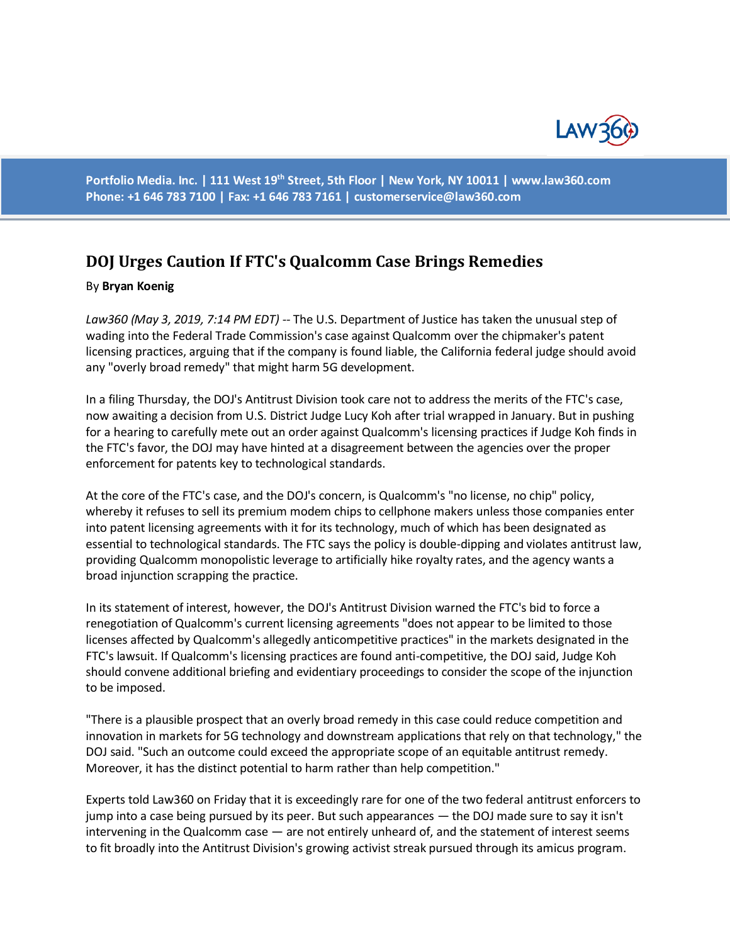

**Portfolio Media. Inc. | 111 West 19th Street, 5th Floor | New York, NY 10011 | www.law360.com Phone: +1 646 783 7100 | Fax: +1 646 783 7161 | [customerservice@law360.com](mailto:customerservice@law360.com)**

## **DOJ Urges Caution If FTC's Qualcomm Case Brings Remedies**

## By **Bryan Koenig**

*Law360 (May 3, 2019, 7:14 PM EDT) --* The U.S. Department of Justice has taken the unusual step of wading into the Federal Trade Commission's case against Qualcomm over the chipmaker's patent licensing practices, arguing that if the company is found liable, the California federal judge should avoid any "overly broad remedy" that might harm 5G development.

In a filing Thursday, the DOJ's Antitrust Division took care not to address the merits of the FTC's case, now awaiting a decision from U.S. District Judge Lucy Koh after trial wrapped in January. But in pushing for a hearing to carefully mete out an order against Qualcomm's licensing practices if Judge Koh finds in the FTC's favor, the DOJ may have hinted at a disagreement between the agencies over the proper enforcement for patents key to technological standards.

At the core of the FTC's case, and the DOJ's concern, is Qualcomm's "no license, no chip" policy, whereby it refuses to sell its premium modem chips to cellphone makers unless those companies enter into patent licensing agreements with it for its technology, much of which has been designated as essential to technological standards. The FTC says the policy is double-dipping and violates antitrust law, providing Qualcomm monopolistic leverage to artificially hike royalty rates, and the agency wants a broad injunction scrapping the practice.

In its statement of interest, however, the DOJ's Antitrust Division warned the FTC's bid to force a renegotiation of Qualcomm's current licensing agreements "does not appear to be limited to those licenses affected by Qualcomm's allegedly anticompetitive practices" in the markets designated in the FTC's lawsuit. If Qualcomm's licensing practices are found anti-competitive, the DOJ said, Judge Koh should convene additional briefing and evidentiary proceedings to consider the scope of the injunction to be imposed.

"There is a plausible prospect that an overly broad remedy in this case could reduce competition and innovation in markets for 5G technology and downstream applications that rely on that technology," the DOJ said. "Such an outcome could exceed the appropriate scope of an equitable antitrust remedy. Moreover, it has the distinct potential to harm rather than help competition."

Experts told Law360 on Friday that it is exceedingly rare for one of the two federal antitrust enforcers to jump into a case being pursued by its peer. But such appearances — the DOJ made sure to say it isn't intervening in the Qualcomm case — are not entirely unheard of, and the statement of interest seems to fit broadly into the Antitrust Division's growing activist streak pursued through its amicus program.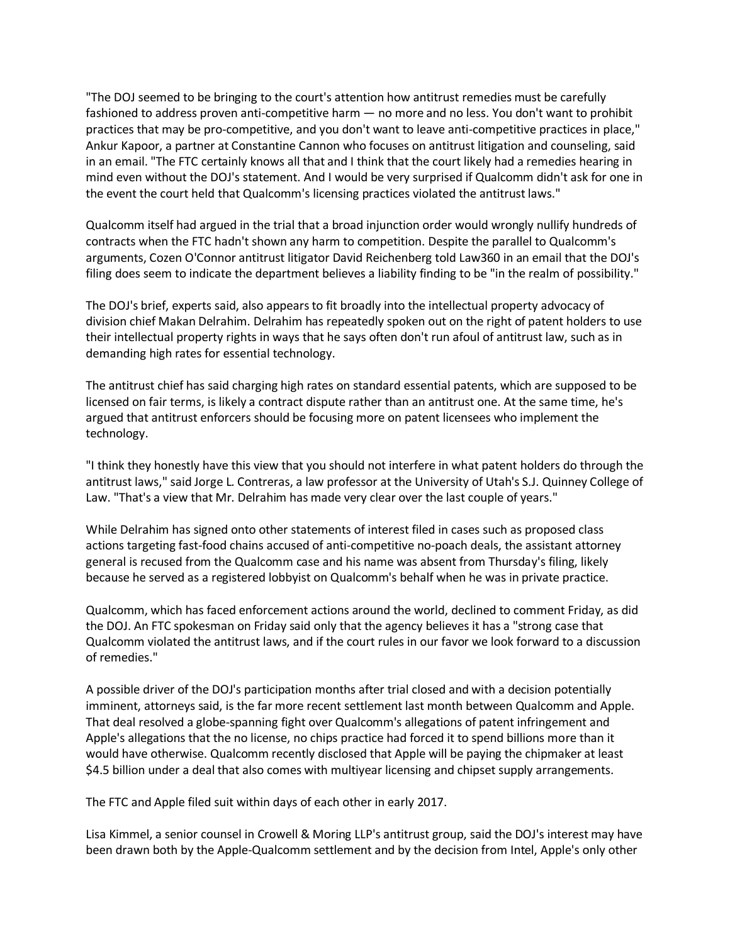"The DOJ seemed to be bringing to the court's attention how antitrust remedies must be carefully fashioned to address proven anti-competitive harm — no more and no less. You don't want to prohibit practices that may be pro-competitive, and you don't want to leave anti-competitive practices in place," Ankur Kapoor, a partner at Constantine Cannon who focuses on antitrust litigation and counseling, said in an email. "The FTC certainly knows all that and I think that the court likely had a remedies hearing in mind even without the DOJ's statement. And I would be very surprised if Qualcomm didn't ask for one in the event the court held that Qualcomm's licensing practices violated the antitrust laws."

Qualcomm itself had argued in the trial that a broad injunction order would wrongly nullify hundreds of contracts when the FTC hadn't shown any harm to competition. Despite the parallel to Qualcomm's arguments, Cozen O'Connor antitrust litigator David Reichenberg told Law360 in an email that the DOJ's filing does seem to indicate the department believes a liability finding to be "in the realm of possibility."

The DOJ's brief, experts said, also appears to fit broadly into the intellectual property advocacy of division chief Makan Delrahim. Delrahim has repeatedly spoken out on the right of patent holders to use their intellectual property rights in ways that he says often don't run afoul of antitrust law, such as in demanding high rates for essential technology.

The antitrust chief has said charging high rates on standard essential patents, which are supposed to be licensed on fair terms, is likely a contract dispute rather than an antitrust one. At the same time, he's argued that antitrust enforcers should be focusing more on patent licensees who implement the technology.

"I think they honestly have this view that you should not interfere in what patent holders do through the antitrust laws," said Jorge L. Contreras, a law professor at the University of Utah's S.J. Quinney College of Law. "That's a view that Mr. Delrahim has made very clear over the last couple of years."

While Delrahim has signed onto other statements of interest filed in cases such as proposed class actions targeting fast-food chains accused of anti-competitive no-poach deals, the assistant attorney general is recused from the Qualcomm case and his name was absent from Thursday's filing, likely because he served as a registered lobbyist on Qualcomm's behalf when he was in private practice.

Qualcomm, which has faced enforcement actions around the world, declined to comment Friday, as did the DOJ. An FTC spokesman on Friday said only that the agency believes it has a "strong case that Qualcomm violated the antitrust laws, and if the court rules in our favor we look forward to a discussion of remedies."

A possible driver of the DOJ's participation months after trial closed and with a decision potentially imminent, attorneys said, is the far more recent settlement last month between Qualcomm and Apple. That deal resolved a globe-spanning fight over Qualcomm's allegations of patent infringement and Apple's allegations that the no license, no chips practice had forced it to spend billions more than it would have otherwise. Qualcomm recently disclosed that Apple will be paying the chipmaker at least \$4.5 billion under a deal that also comes with multiyear licensing and chipset supply arrangements.

The FTC and Apple filed suit within days of each other in early 2017.

Lisa Kimmel, a senior counsel in Crowell & Moring LLP's antitrust group, said the DOJ's interest may have been drawn both by the Apple-Qualcomm settlement and by the decision from Intel, Apple's only other